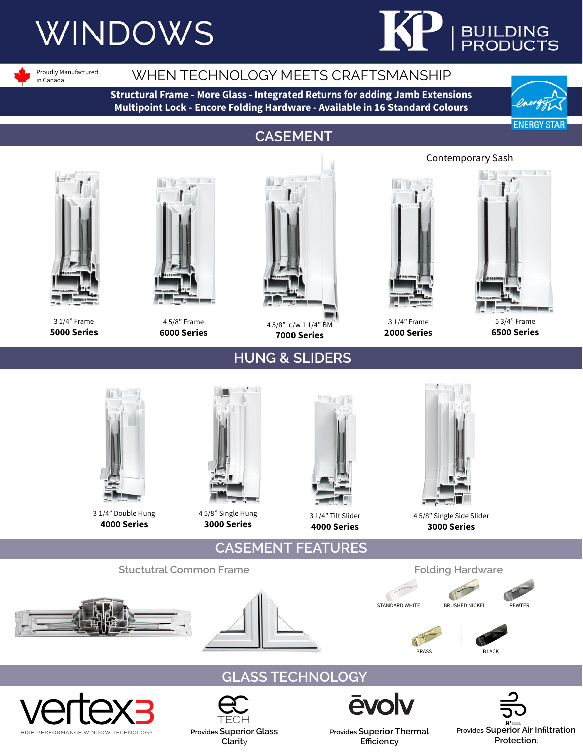# **WINDOWS**



Proudly Manufactured in Canada

### WHEN TECHNOLOGY MEETS CRAFTSMANSHIP

**Structural Frame - More Glass - Integrated Returns for adding Jamb Extensions Multipoint Lock - Encore Folding Hardware - Available in 16 Standard Colours**



### **CASEMENT**



3 1/4" Frame **5000 Series**



4 5/8" Frame **6000 Series**



4 5/8" c/w 1 1/4" BM **7000 Series**

**HUNG & SLIDERS**



**2000 Series**



5 3/4" Frame **6500 Series**



3 1/4" Double Hung **4000 Series**



4 5/8" Single Hung **3000 Series**

**Provides Superior Glass Clarit**y

**TECH** 



3 1/4" Tilt Slider **4000 Series**



4 5/8" Single Side Slider **3000 Series**











**Provides Superior Thermal Efficiency**

Contemporary Sash